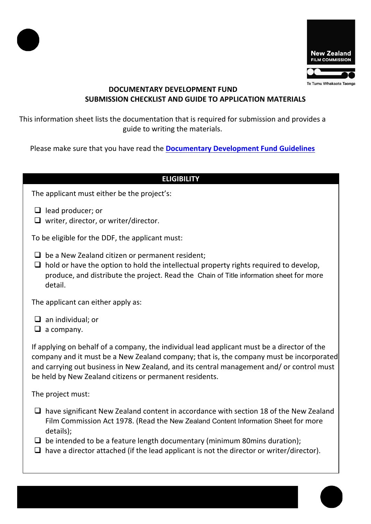



# **DOCUMENTARY DEVELOPMENT FUND SUBMISSION CHECKLIST AND GUIDE TO APPLICATION MATERIALS**

This information sheet lists the documentation that is required for submission and provides a guide to writing the materials.

Please make sure that you have read the **[Documentary Development Fund Guidelines](https://www.nzfilm.co.nz/resources/documentary-development-fund-guidelines)**

#### **ELIGIBILITY**

The applicant must either be the project's:

- $\Box$  lead producer; or
- $\Box$  writer, director, or writer/director.

To be eligible for the DDF, the applicant must:

- $\Box$  be a New Zealand citizen or permanent resident;
- $\Box$  hold or have the option to hold the intellectual property rights required to develop, produce, and distribute the project. Read the [Chain of Title information sheet](https://www.nzfilm.co.nz/resources/chain-title-information-sheet) for more detail.

The applicant can either apply as:

 $\Box$  an individual; or

 $\Box$  a company.

If applying on behalf of a company, the individual lead applicant must be a director of the company and it must be a New Zealand company; that is, the company must be incorporated and carrying out business in New Zealand, and its central management and/ or control must be held by New Zealand citizens or permanent residents.

The project must:

- $\Box$  have significant New Zealand content in accordance with section 18 of the New Zealand Film Commission Act 1978. (Read the [New Zealand Content Information Sheet](https://www.nzfilm.co.nz/resources/new-zealand-content-information-sheet) for more details);
- $\Box$  be intended to be a feature length documentary (minimum 80mins duration);
- $\Box$  have a director attached (if the lead applicant is not the director or writer/director).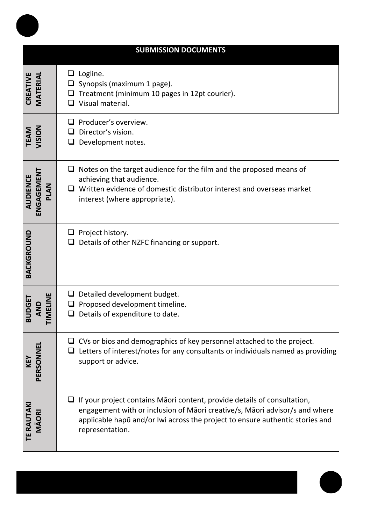| <b>SUBMISSION DOCUMENTS</b>                  |                                                                                                                                                                                                                                                                    |
|----------------------------------------------|--------------------------------------------------------------------------------------------------------------------------------------------------------------------------------------------------------------------------------------------------------------------|
| <b>CREATIVE</b><br>MATERIAL                  | $\Box$ Logline.<br>Synopsis (maximum 1 page).<br>Treatment (minimum 10 pages in 12pt courier).<br>Visual material.                                                                                                                                                 |
| <b>TEAM</b><br>VISION                        | Producer's overview.<br>Director's vision.<br>Development notes.<br>⊔                                                                                                                                                                                              |
| <b>ENGAGEMENT</b><br><b>AUDIENCE</b><br>PLAN | $\Box$ Notes on the target audience for the film and the proposed means of<br>achieving that audience.<br>Written evidence of domestic distributor interest and overseas market<br>interest (where appropriate).                                                   |
| BACKGROUND                                   | $\Box$ Project history.<br>Details of other NZFC financing or support.                                                                                                                                                                                             |
| <b>TIMELINE</b><br><b>BUDGET</b><br>AND      | $\Box$ Detailed development budget.<br>Proposed development timeline.<br>Details of expenditure to date.                                                                                                                                                           |
| <b>KEY<br/>PERSONNEL</b>                     | $\Box$ CVs or bios and demographics of key personnel attached to the project.<br>Letters of interest/notes for any consultants or individuals named as providing<br>support or advice.                                                                             |
| <b>TE RAUTAKI</b><br>MÃORI                   | $\Box$ If your project contains Māori content, provide details of consultation,<br>engagement with or inclusion of Māori creative/s, Māori advisor/s and where<br>applicable hapū and/or Iwi across the project to ensure authentic stories and<br>representation. |

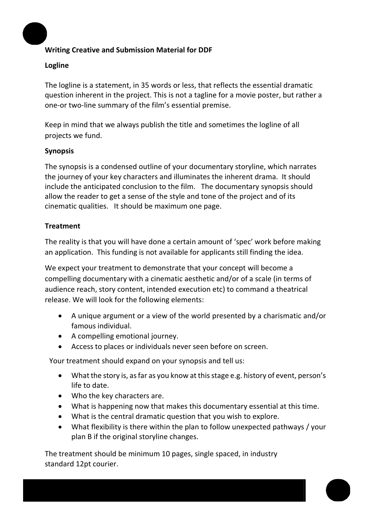## **Writing Creative and Submission Material for DDF**

## **Logline**

The logline is a statement, in 35 words or less, that reflects the essential dramatic question inherent in the project. This is not a tagline for a movie poster, but rather a one-or two-line summary of the film's essential premise.

Keep in mind that we always publish the title and sometimes the logline of all projects we fund.

## **Synopsis**

The synopsis is a condensed outline of your documentary storyline, which narrates the journey of your key characters and illuminates the inherent drama. It should include the anticipated conclusion to the film. The documentary synopsis should allow the reader to get a sense of the style and tone of the project and of its cinematic qualities. It should be maximum one page.

## **Treatment**

The reality is that you will have done a certain amount of 'spec' work before making an application. This funding is not available for applicants still finding the idea.

We expect your treatment to demonstrate that your concept will become a compelling documentary with a cinematic aesthetic and/or of a scale (in terms of audience reach, story content, intended execution etc) to command a theatrical release. We will look for the following elements:

- A unique argument or a view of the world presented by a charismatic and/or famous individual.
- A compelling emotional journey.
- Access to places or individuals never seen before on screen.

Your treatment should expand on your synopsis and tell us:

- What the story is, as far as you know at this stage e.g. history of event, person's life to date.
- Who the key characters are.
- What is happening now that makes this documentary essential at this time.
- What is the central dramatic question that you wish to explore.
- What flexibility is there within the plan to follow unexpected pathways / your plan B if the original storyline changes.

The treatment should be minimum 10 pages, single spaced, in industry standard 12pt courier.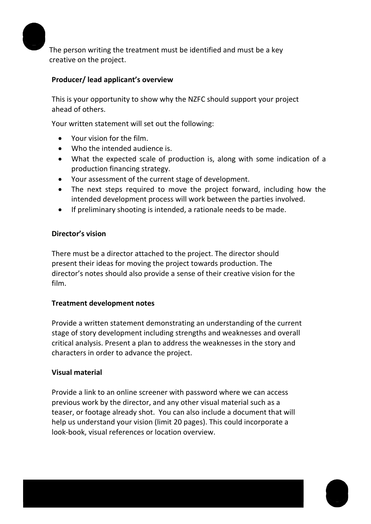

The person writing the treatment must be identified and must be a key creative on the project.

## **Producer/ lead applicant's overview**

This is your opportunity to show why the NZFC should support your project ahead of others.

Your written statement will set out the following:

- Your vision for the film.
- Who the intended audience is.
- What the expected scale of production is, along with some indication of a production financing strategy.
- Your assessment of the current stage of development.
- The next steps required to move the project forward, including how the intended development process will work between the parties involved.
- If preliminary shooting is intended, a rationale needs to be made.

#### **Director's vision**

There must be a director attached to the project. The director should present their ideas for moving the project towards production. The director's notes should also provide a sense of their creative vision for the film.

#### **Treatment development notes**

Provide a written statement demonstrating an understanding of the current stage of story development including strengths and weaknesses and overall critical analysis. Present a plan to address the weaknesses in the story and characters in order to advance the project.

#### **Visual material**

Provide a link to an online screener with password where we can access previous work by the director, and any other visual material such as a teaser, or footage already shot. You can also include a document that will help us understand your vision (limit 20 pages). This could incorporate a look-book, visual references or location overview.